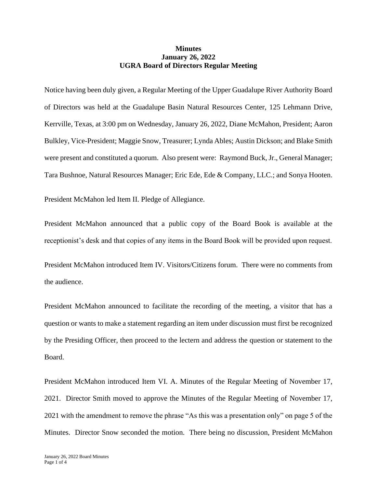## **Minutes January 26, 2022 UGRA Board of Directors Regular Meeting**

Notice having been duly given, a Regular Meeting of the Upper Guadalupe River Authority Board of Directors was held at the Guadalupe Basin Natural Resources Center, 125 Lehmann Drive, Kerrville, Texas, at 3:00 pm on Wednesday, January 26, 2022, Diane McMahon, President; Aaron Bulkley, Vice-President; Maggie Snow, Treasurer; Lynda Ables; Austin Dickson; and Blake Smith were present and constituted a quorum. Also present were: Raymond Buck, Jr., General Manager; Tara Bushnoe, Natural Resources Manager; Eric Ede, Ede & Company, LLC.; and Sonya Hooten.

President McMahon led Item II. Pledge of Allegiance.

President McMahon announced that a public copy of the Board Book is available at the receptionist's desk and that copies of any items in the Board Book will be provided upon request.

President McMahon introduced Item IV. Visitors/Citizens forum. There were no comments from the audience.

President McMahon announced to facilitate the recording of the meeting, a visitor that has a question or wants to make a statement regarding an item under discussion must first be recognized by the Presiding Officer, then proceed to the lectern and address the question or statement to the Board.

President McMahon introduced Item VI. A. Minutes of the Regular Meeting of November 17, 2021. Director Smith moved to approve the Minutes of the Regular Meeting of November 17, 2021 with the amendment to remove the phrase "As this was a presentation only" on page 5 of the Minutes. Director Snow seconded the motion. There being no discussion, President McMahon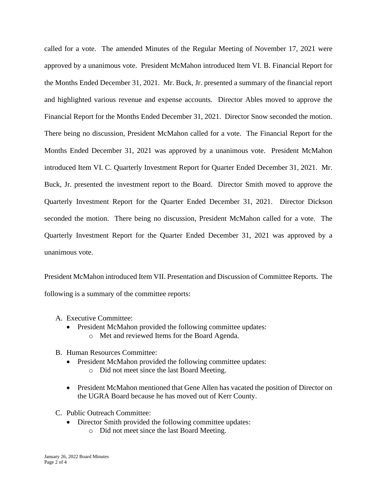called for a vote. The amended Minutes of the Regular Meeting of November 17, 2021 were approved by a unanimous vote. President McMahon introduced Item VI. B. Financial Report for the Months Ended December 31, 2021. Mr. Buck, Jr. presented a summary of the financial report and highlighted various revenue and expense accounts. Director Ables moved to approve the Financial Report for the Months Ended December 31, 2021. Director Snow seconded the motion. There being no discussion, President McMahon called for a vote. The Financial Report for the Months Ended December 31, 2021 was approved by a unanimous vote. President McMahon introduced Item VI. C. Quarterly Investment Report for Quarter Ended December 31, 2021. Mr. Buck, Jr. presented the investment report to the Board. Director Smith moved to approve the Quarterly Investment Report for the Quarter Ended December 31, 2021. Director Dickson seconded the motion. There being no discussion, President McMahon called for a vote. The Quarterly Investment Report for the Quarter Ended December 31, 2021 was approved by a unanimous vote.

President McMahon introduced Item VII. Presentation and Discussion of Committee Reports. The following is a summary of the committee reports:

- A. Executive Committee:
	- President McMahon provided the following committee updates:
		- o Met and reviewed Items for the Board Agenda.
- B. Human Resources Committee:
	- President McMahon provided the following committee updates:
		- o Did not meet since the last Board Meeting.
	- President McMahon mentioned that Gene Allen has vacated the position of Director on the UGRA Board because he has moved out of Kerr County.
- C. Public Outreach Committee:
	- Director Smith provided the following committee updates:
		- o Did not meet since the last Board Meeting.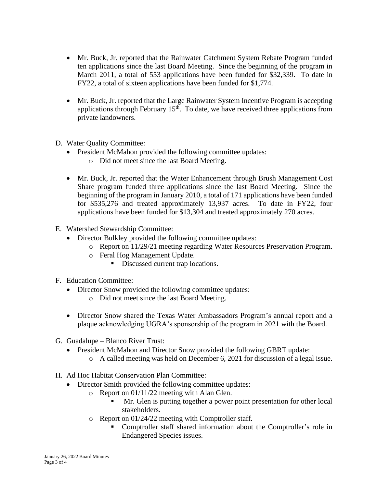- Mr. Buck, Jr. reported that the Rainwater Catchment System Rebate Program funded ten applications since the last Board Meeting. Since the beginning of the program in March 2011, a total of 553 applications have been funded for \$32,339. To date in FY22, a total of sixteen applications have been funded for \$1,774.
- Mr. Buck, Jr. reported that the Large Rainwater System Incentive Program is accepting applications through February  $15<sup>th</sup>$ . To date, we have received three applications from private landowners.
- D. Water Quality Committee:
	- President McMahon provided the following committee updates:
		- o Did not meet since the last Board Meeting.
	- Mr. Buck, Jr. reported that the Water Enhancement through Brush Management Cost Share program funded three applications since the last Board Meeting. Since the beginning of the program in January 2010, a total of 171 applications have been funded for \$535,276 and treated approximately 13,937 acres. To date in FY22, four applications have been funded for \$13,304 and treated approximately 270 acres.
- E. Watershed Stewardship Committee:
	- Director Bulkley provided the following committee updates:
		- o Report on 11/29/21 meeting regarding Water Resources Preservation Program.
		- o Feral Hog Management Update.
			- Discussed current trap locations.
- F. Education Committee:
	- Director Snow provided the following committee updates:
		- o Did not meet since the last Board Meeting.
	- Director Snow shared the Texas Water Ambassadors Program's annual report and a plaque acknowledging UGRA's sponsorship of the program in 2021 with the Board.
- G. Guadalupe Blanco River Trust:
	- President McMahon and Director Snow provided the following GBRT update:
		- o A called meeting was held on December 6, 2021 for discussion of a legal issue.
- H. Ad Hoc Habitat Conservation Plan Committee:
	- Director Smith provided the following committee updates:
		- o Report on 01/11/22 meeting with Alan Glen.
			- Mr. Glen is putting together a power point presentation for other local stakeholders.
		- o Report on 01/24/22 meeting with Comptroller staff.
			- Comptroller staff shared information about the Comptroller's role in Endangered Species issues.